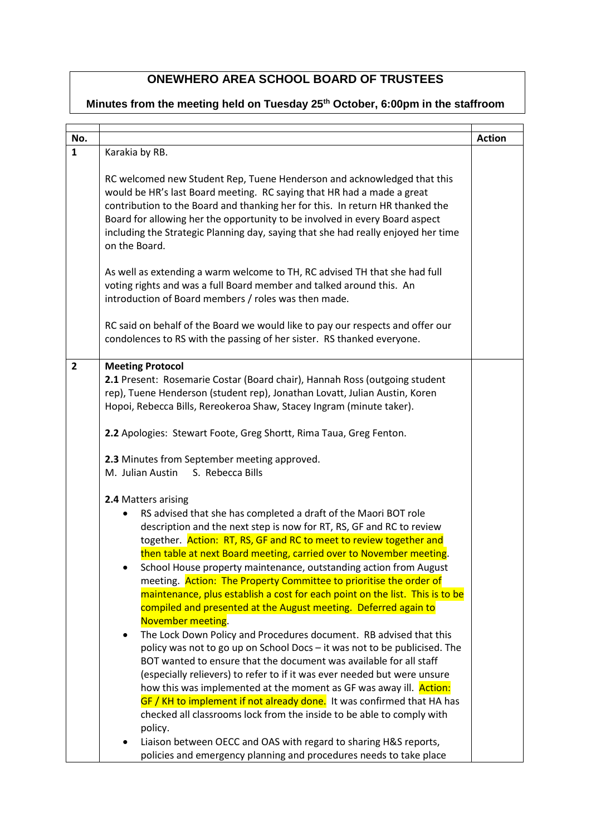## **ONEWHERO AREA SCHOOL BOARD OF TRUSTEES**

## **Minutes from the meeting held on Tuesday 25th October, 6:00pm in the staffroom**

| No.            |                                                                                                                                                                                                                                                                                                                                                                                                                                                                                                                                                                                                                                                                                                                                                                                                                                                                                                                                                                                                                                                                                                                                                                                                                                                                                                                                                                               | <b>Action</b> |
|----------------|-------------------------------------------------------------------------------------------------------------------------------------------------------------------------------------------------------------------------------------------------------------------------------------------------------------------------------------------------------------------------------------------------------------------------------------------------------------------------------------------------------------------------------------------------------------------------------------------------------------------------------------------------------------------------------------------------------------------------------------------------------------------------------------------------------------------------------------------------------------------------------------------------------------------------------------------------------------------------------------------------------------------------------------------------------------------------------------------------------------------------------------------------------------------------------------------------------------------------------------------------------------------------------------------------------------------------------------------------------------------------------|---------------|
| $\mathbf{1}$   | Karakia by RB.                                                                                                                                                                                                                                                                                                                                                                                                                                                                                                                                                                                                                                                                                                                                                                                                                                                                                                                                                                                                                                                                                                                                                                                                                                                                                                                                                                |               |
|                | RC welcomed new Student Rep, Tuene Henderson and acknowledged that this<br>would be HR's last Board meeting. RC saying that HR had a made a great<br>contribution to the Board and thanking her for this. In return HR thanked the<br>Board for allowing her the opportunity to be involved in every Board aspect<br>including the Strategic Planning day, saying that she had really enjoyed her time<br>on the Board.<br>As well as extending a warm welcome to TH, RC advised TH that she had full<br>voting rights and was a full Board member and talked around this. An<br>introduction of Board members / roles was then made.                                                                                                                                                                                                                                                                                                                                                                                                                                                                                                                                                                                                                                                                                                                                         |               |
|                | RC said on behalf of the Board we would like to pay our respects and offer our<br>condolences to RS with the passing of her sister. RS thanked everyone.                                                                                                                                                                                                                                                                                                                                                                                                                                                                                                                                                                                                                                                                                                                                                                                                                                                                                                                                                                                                                                                                                                                                                                                                                      |               |
| $\overline{2}$ | <b>Meeting Protocol</b><br>2.1 Present: Rosemarie Costar (Board chair), Hannah Ross (outgoing student<br>rep), Tuene Henderson (student rep), Jonathan Lovatt, Julian Austin, Koren<br>Hopoi, Rebecca Bills, Rereokeroa Shaw, Stacey Ingram (minute taker).<br>2.2 Apologies: Stewart Foote, Greg Shortt, Rima Taua, Greg Fenton.<br>2.3 Minutes from September meeting approved.<br>M. Julian Austin<br>S. Rebecca Bills<br>2.4 Matters arising<br>RS advised that she has completed a draft of the Maori BOT role<br>description and the next step is now for RT, RS, GF and RC to review<br>together. Action: RT, RS, GF and RC to meet to review together and<br>then table at next Board meeting, carried over to November meeting.<br>School House property maintenance, outstanding action from August<br>meeting. Action: The Property Committee to prioritise the order of<br>maintenance, plus establish a cost for each point on the list. This is to be<br>compiled and presented at the August meeting. Deferred again to<br>November meeting.<br>The Lock Down Policy and Procedures document. RB advised that this<br>$\bullet$<br>policy was not to go up on School Docs - it was not to be publicised. The<br>BOT wanted to ensure that the document was available for all staff<br>(especially relievers) to refer to if it was ever needed but were unsure |               |
|                | how this was implemented at the moment as GF was away ill. Action:<br>GF / KH to implement if not already done. It was confirmed that HA has<br>checked all classrooms lock from the inside to be able to comply with<br>policy.<br>Liaison between OECC and OAS with regard to sharing H&S reports,<br>policies and emergency planning and procedures needs to take place                                                                                                                                                                                                                                                                                                                                                                                                                                                                                                                                                                                                                                                                                                                                                                                                                                                                                                                                                                                                    |               |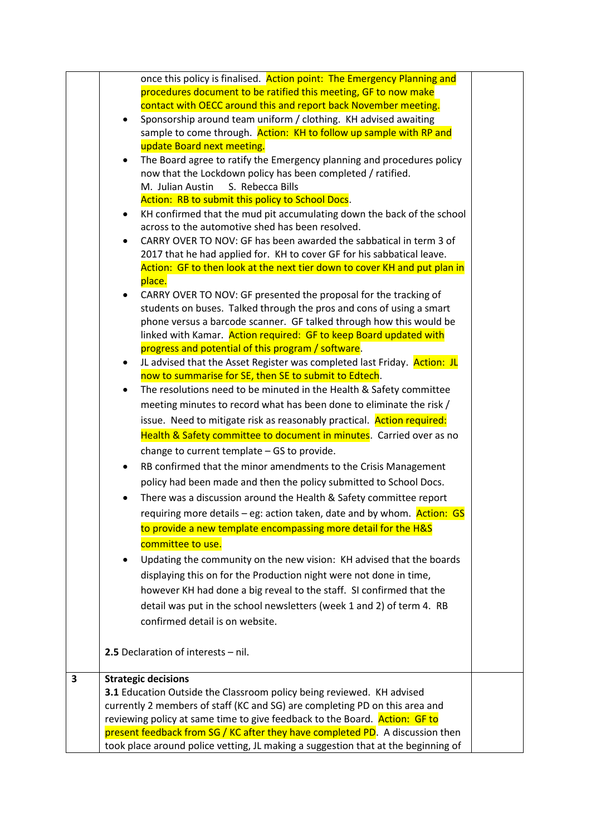|   | once this policy is finalised. Action point: The Emergency Planning and               |  |
|---|---------------------------------------------------------------------------------------|--|
|   | procedures document to be ratified this meeting, GF to now make                       |  |
|   | contact with OECC around this and report back November meeting.                       |  |
|   | Sponsorship around team uniform / clothing. KH advised awaiting<br>$\bullet$          |  |
|   | sample to come through. Action: KH to follow up sample with RP and                    |  |
|   | update Board next meeting.                                                            |  |
|   | The Board agree to ratify the Emergency planning and procedures policy<br>$\bullet$   |  |
|   | now that the Lockdown policy has been completed / ratified.                           |  |
|   | M. Julian Austin S. Rebecca Bills                                                     |  |
|   | Action: RB to submit this policy to School Docs.                                      |  |
|   | KH confirmed that the mud pit accumulating down the back of the school<br>٠           |  |
|   | across to the automotive shed has been resolved.                                      |  |
|   | CARRY OVER TO NOV: GF has been awarded the sabbatical in term 3 of<br>$\bullet$       |  |
|   | 2017 that he had applied for. KH to cover GF for his sabbatical leave.                |  |
|   | Action: GF to then look at the next tier down to cover KH and put plan in             |  |
|   | place.                                                                                |  |
|   | CARRY OVER TO NOV: GF presented the proposal for the tracking of                      |  |
|   | students on buses. Talked through the pros and cons of using a smart                  |  |
|   | phone versus a barcode scanner. GF talked through how this would be                   |  |
|   | linked with Kamar. Action required: GF to keep Board updated with                     |  |
|   | progress and potential of this program / software.                                    |  |
|   | JL advised that the Asset Register was completed last Friday. Action: JL<br>$\bullet$ |  |
|   | now to summarise for SE, then SE to submit to Edtech.                                 |  |
|   | The resolutions need to be minuted in the Health & Safety committee                   |  |
|   | meeting minutes to record what has been done to eliminate the risk /                  |  |
|   | issue. Need to mitigate risk as reasonably practical. Action required:                |  |
|   | Health & Safety committee to document in minutes. Carried over as no                  |  |
|   | change to current template - GS to provide.                                           |  |
|   | RB confirmed that the minor amendments to the Crisis Management                       |  |
|   | policy had been made and then the policy submitted to School Docs.                    |  |
|   | There was a discussion around the Health & Safety committee report                    |  |
|   |                                                                                       |  |
|   | requiring more details – eg: action taken, date and by whom. Action: GS               |  |
|   | to provide a new template encompassing more detail for the H&S                        |  |
|   | committee to use.                                                                     |  |
|   | Updating the community on the new vision: KH advised that the boards                  |  |
|   | displaying this on for the Production night were not done in time,                    |  |
|   | however KH had done a big reveal to the staff. SI confirmed that the                  |  |
|   | detail was put in the school newsletters (week 1 and 2) of term 4. RB                 |  |
|   | confirmed detail is on website.                                                       |  |
|   |                                                                                       |  |
|   |                                                                                       |  |
|   | 2.5 Declaration of interests - nil.                                                   |  |
| 3 | <b>Strategic decisions</b>                                                            |  |
|   | 3.1 Education Outside the Classroom policy being reviewed. KH advised                 |  |
|   | currently 2 members of staff (KC and SG) are completing PD on this area and           |  |
|   | reviewing policy at same time to give feedback to the Board. Action: GF to            |  |
|   | present feedback from SG / KC after they have completed PD. A discussion then         |  |
|   | took place around police vetting, JL making a suggestion that at the beginning of     |  |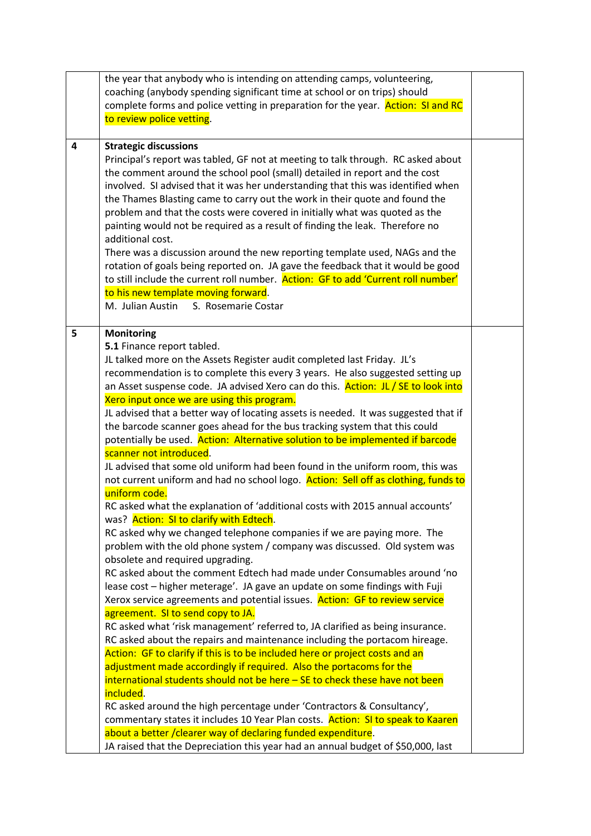|                         | the year that anybody who is intending on attending camps, volunteering,                                                        |  |
|-------------------------|---------------------------------------------------------------------------------------------------------------------------------|--|
|                         | coaching (anybody spending significant time at school or on trips) should                                                       |  |
|                         | complete forms and police vetting in preparation for the year. Action: SI and RC                                                |  |
|                         | to review police vetting.                                                                                                       |  |
|                         |                                                                                                                                 |  |
| $\overline{\mathbf{4}}$ | <b>Strategic discussions</b>                                                                                                    |  |
|                         | Principal's report was tabled, GF not at meeting to talk through. RC asked about                                                |  |
|                         | the comment around the school pool (small) detailed in report and the cost                                                      |  |
|                         | involved. SI advised that it was her understanding that this was identified when                                                |  |
|                         | the Thames Blasting came to carry out the work in their quote and found the                                                     |  |
|                         | problem and that the costs were covered in initially what was quoted as the                                                     |  |
|                         | painting would not be required as a result of finding the leak. Therefore no                                                    |  |
|                         | additional cost.                                                                                                                |  |
|                         | There was a discussion around the new reporting template used, NAGs and the                                                     |  |
|                         | rotation of goals being reported on. JA gave the feedback that it would be good                                                 |  |
|                         | to still include the current roll number. Action: GF to add 'Current roll number'                                               |  |
|                         | to his new template moving forward.                                                                                             |  |
|                         | M. Julian Austin<br>S. Rosemarie Costar                                                                                         |  |
|                         |                                                                                                                                 |  |
| 5                       | <b>Monitoring</b>                                                                                                               |  |
|                         | 5.1 Finance report tabled.                                                                                                      |  |
|                         | JL talked more on the Assets Register audit completed last Friday. JL's                                                         |  |
|                         | recommendation is to complete this every 3 years. He also suggested setting up                                                  |  |
|                         | an Asset suspense code. JA advised Xero can do this. Action: JL / SE to look into<br>Xero input once we are using this program. |  |
|                         | JL advised that a better way of locating assets is needed. It was suggested that if                                             |  |
|                         | the barcode scanner goes ahead for the bus tracking system that this could                                                      |  |
|                         | potentially be used. Action: Alternative solution to be implemented if barcode                                                  |  |
|                         | scanner not introduced.                                                                                                         |  |
|                         | JL advised that some old uniform had been found in the uniform room, this was                                                   |  |
|                         | not current uniform and had no school logo. Action: Sell off as clothing, funds to                                              |  |
|                         | uniform code.                                                                                                                   |  |
|                         | RC asked what the explanation of 'additional costs with 2015 annual accounts'                                                   |  |
|                         | was? Action: SI to clarify with Edtech.                                                                                         |  |
|                         | RC asked why we changed telephone companies if we are paying more. The                                                          |  |
|                         | problem with the old phone system / company was discussed. Old system was                                                       |  |
|                         | obsolete and required upgrading.                                                                                                |  |
|                         | RC asked about the comment Edtech had made under Consumables around 'no                                                         |  |
|                         | lease cost - higher meterage'. JA gave an update on some findings with Fuji                                                     |  |
|                         | Xerox service agreements and potential issues. Action: GF to review service                                                     |  |
|                         | agreement. SI to send copy to JA.                                                                                               |  |
|                         | RC asked what 'risk management' referred to, JA clarified as being insurance.                                                   |  |
|                         | RC asked about the repairs and maintenance including the portacom hireage.                                                      |  |
|                         | Action: GF to clarify if this is to be included here or project costs and an                                                    |  |
|                         | adjustment made accordingly if required. Also the portacoms for the                                                             |  |
|                         | $international students should not be here – SE to check these have not been$                                                   |  |
|                         | included.                                                                                                                       |  |
|                         | RC asked around the high percentage under 'Contractors & Consultancy',                                                          |  |
|                         | commentary states it includes 10 Year Plan costs. Action: SI to speak to Kaaren                                                 |  |
|                         | about a better / clearer way of declaring funded expenditure.                                                                   |  |
|                         | JA raised that the Depreciation this year had an annual budget of \$50,000, last                                                |  |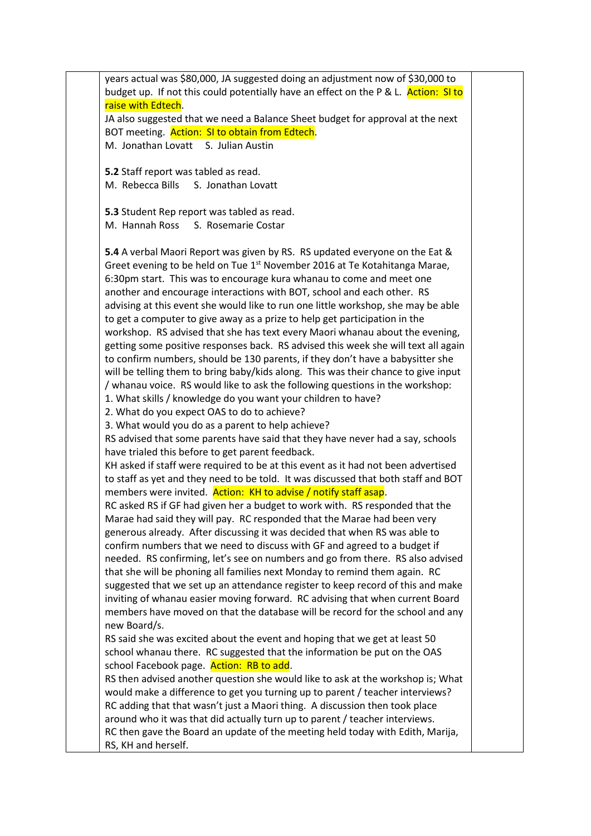years actual was \$80,000, JA suggested doing an adjustment now of \$30,000 to budget up. If not this could potentially have an effect on the P & L. Action: SI to raise with Edtech. JA also suggested that we need a Balance Sheet budget for approval at the next BOT meeting. Action: SI to obtain from Edtech. M. Jonathan Lovatt S. Julian Austin **5.2** Staff report was tabled as read. M. Rebecca Bills S. Jonathan Lovatt **5.3** Student Rep report was tabled as read. M. Hannah Ross S. Rosemarie Costar **5.4** A verbal Maori Report was given by RS. RS updated everyone on the Eat & Greet evening to be held on Tue 1<sup>st</sup> November 2016 at Te Kotahitanga Marae, 6:30pm start. This was to encourage kura whanau to come and meet one another and encourage interactions with BOT, school and each other. RS advising at this event she would like to run one little workshop, she may be able to get a computer to give away as a prize to help get participation in the workshop. RS advised that she has text every Maori whanau about the evening, getting some positive responses back. RS advised this week she will text all again to confirm numbers, should be 130 parents, if they don't have a babysitter she will be telling them to bring baby/kids along. This was their chance to give input / whanau voice. RS would like to ask the following questions in the workshop: 1. What skills / knowledge do you want your children to have? 2. What do you expect OAS to do to achieve? 3. What would you do as a parent to help achieve? RS advised that some parents have said that they have never had a say, schools have trialed this before to get parent feedback. KH asked if staff were required to be at this event as it had not been advertised to staff as yet and they need to be told. It was discussed that both staff and BOT members were invited. Action: KH to advise / notify staff asap. RC asked RS if GF had given her a budget to work with. RS responded that the Marae had said they will pay. RC responded that the Marae had been very generous already. After discussing it was decided that when RS was able to confirm numbers that we need to discuss with GF and agreed to a budget if needed. RS confirming, let's see on numbers and go from there. RS also advised that she will be phoning all families next Monday to remind them again. RC suggested that we set up an attendance register to keep record of this and make inviting of whanau easier moving forward. RC advising that when current Board members have moved on that the database will be record for the school and any new Board/s. RS said she was excited about the event and hoping that we get at least 50 school whanau there. RC suggested that the information be put on the OAS school Facebook page. Action: RB to add. RS then advised another question she would like to ask at the workshop is; What would make a difference to get you turning up to parent / teacher interviews? RC adding that that wasn't just a Maori thing. A discussion then took place around who it was that did actually turn up to parent / teacher interviews. RC then gave the Board an update of the meeting held today with Edith, Marija, RS, KH and herself.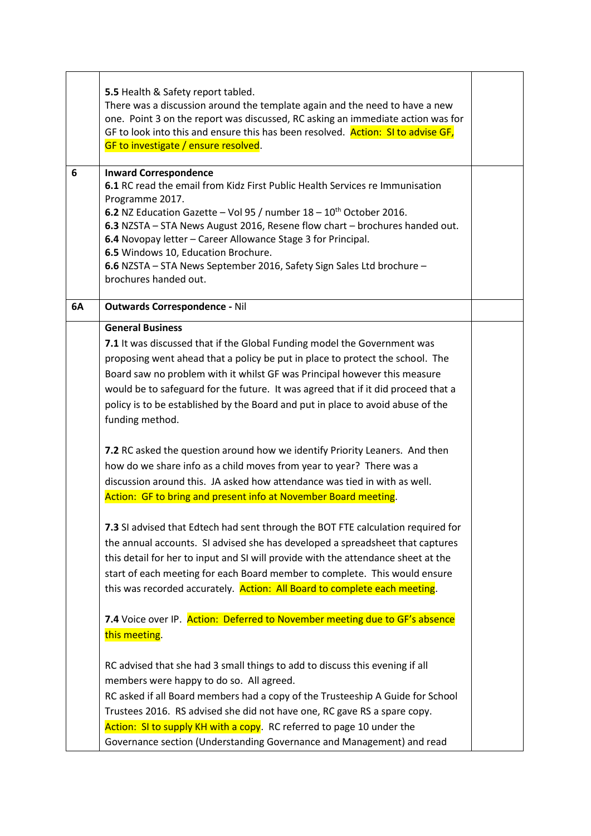|    | 5.5 Health & Safety report tabled.<br>There was a discussion around the template again and the need to have a new<br>one. Point 3 on the report was discussed, RC asking an immediate action was for<br>GF to look into this and ensure this has been resolved. Action: SI to advise GF,<br>GF to investigate / ensure resolved.                                                                                                                                                                                          |  |
|----|---------------------------------------------------------------------------------------------------------------------------------------------------------------------------------------------------------------------------------------------------------------------------------------------------------------------------------------------------------------------------------------------------------------------------------------------------------------------------------------------------------------------------|--|
| 6  | <b>Inward Correspondence</b><br><b>6.1</b> RC read the email from Kidz First Public Health Services re Immunisation<br>Programme 2017.<br><b>6.2</b> NZ Education Gazette – Vol 95 / number $18 - 10$ <sup>th</sup> October 2016.<br>6.3 NZSTA - STA News August 2016, Resene flow chart - brochures handed out.<br>6.4 Novopay letter - Career Allowance Stage 3 for Principal.<br>6.5 Windows 10, Education Brochure.<br>6.6 NZSTA - STA News September 2016, Safety Sign Sales Ltd brochure -<br>brochures handed out. |  |
| 6A | <b>Outwards Correspondence - Nil</b>                                                                                                                                                                                                                                                                                                                                                                                                                                                                                      |  |
|    | <b>General Business</b><br>7.1 It was discussed that if the Global Funding model the Government was<br>proposing went ahead that a policy be put in place to protect the school. The<br>Board saw no problem with it whilst GF was Principal however this measure<br>would be to safeguard for the future. It was agreed that if it did proceed that a<br>policy is to be established by the Board and put in place to avoid abuse of the<br>funding method.                                                              |  |
|    | 7.2 RC asked the question around how we identify Priority Leaners. And then<br>how do we share info as a child moves from year to year? There was a<br>discussion around this. JA asked how attendance was tied in with as well.<br>Action: GF to bring and present info at November Board meeting.                                                                                                                                                                                                                       |  |
|    | 7.3 SI advised that Edtech had sent through the BOT FTE calculation required for<br>the annual accounts. SI advised she has developed a spreadsheet that captures<br>this detail for her to input and SI will provide with the attendance sheet at the<br>start of each meeting for each Board member to complete. This would ensure<br>this was recorded accurately. Action: All Board to complete each meeting.                                                                                                         |  |
|    | 7.4 Voice over IP. Action: Deferred to November meeting due to GF's absence<br>this meeting.                                                                                                                                                                                                                                                                                                                                                                                                                              |  |
|    | RC advised that she had 3 small things to add to discuss this evening if all<br>members were happy to do so. All agreed.<br>RC asked if all Board members had a copy of the Trusteeship A Guide for School<br>Trustees 2016. RS advised she did not have one, RC gave RS a spare copy.<br>Action: SI to supply KH with a copy. RC referred to page 10 under the<br>Governance section (Understanding Governance and Management) and read                                                                                  |  |